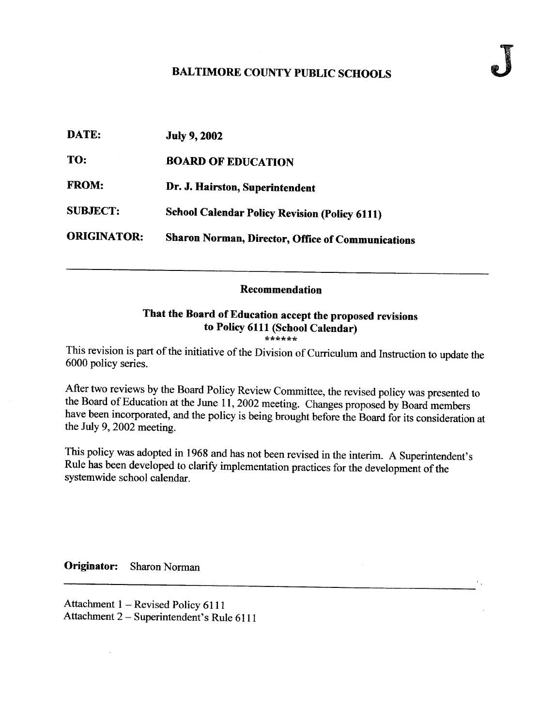## BALTIMORE COUNTY PUBLIC SCHOOLS

| DATE:              | <b>July 9, 2002</b>                                      |
|--------------------|----------------------------------------------------------|
| TO:                | <b>BOARD OF EDUCATION</b>                                |
| <b>FROM:</b>       | Dr. J. Hairston, Superintendent                          |
| <b>SUBJECT:</b>    | <b>School Calendar Policy Revision (Policy 6111)</b>     |
| <b>ORIGINATOR:</b> | <b>Sharon Norman, Director, Office of Communications</b> |

## Recommendation

## That the Board of Education accept the proposed revisions to Policy 6111 (School Calendar)

This revision is part of the initiative of the Division of Curriculum and Instruction to update the 6000 policy series.

After two reviews by the Board Policy Review Committee, the revised policy was presented to the Board of Education at the June 11, 2002 meeting. Changes proposed by Board members have been incorporated, and the policy is being brought before the Board for its consideration at the July 9, <sup>2002</sup> meeting.

This policy was adopted in <sup>1968</sup> and has not been revised in the interim. A Superintendent's Rule has been developed to clarify implementation practices for the development of the systemwide school calendar.

Originator: Sharon Norman

 $\bar{z}$ 

Attachment 1 - Revised Policy 6111 Attachment 2 - Superintendent's Rule <sup>6111</sup>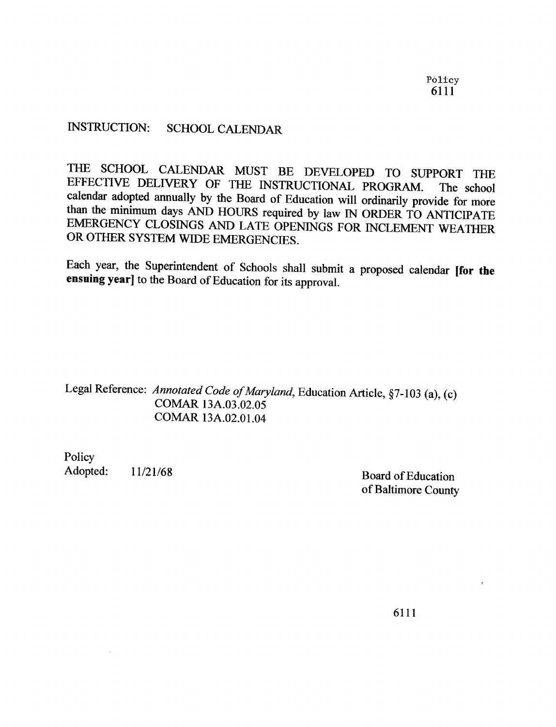## INSTRUCTION: SCHOOL CALENDAR

THE SCHOOL CALENDAR MUST BE DEVELOPED TO SUPPORT THE EFFECTIVE DELIVERY OF THE INSTRUCTIONAL PROGRAM. The school calendar adopted annually by the Board of Education will ordinarily provide for more than the minimum days AN

Each year, the Superintendent of Schools shall submit <sup>a</sup> proposed calendar [for the ensuing year] to the Board of Education for its approval.

Legal Reference: Annotated Code of Maryland, Education Article, §7-103 (a), (c) COMAR 13A.03 .02.05 COMAR 13A.02.01 .04

Policy<br>Adopted:

11/21/68 Board of Education of Baltimore County

6111